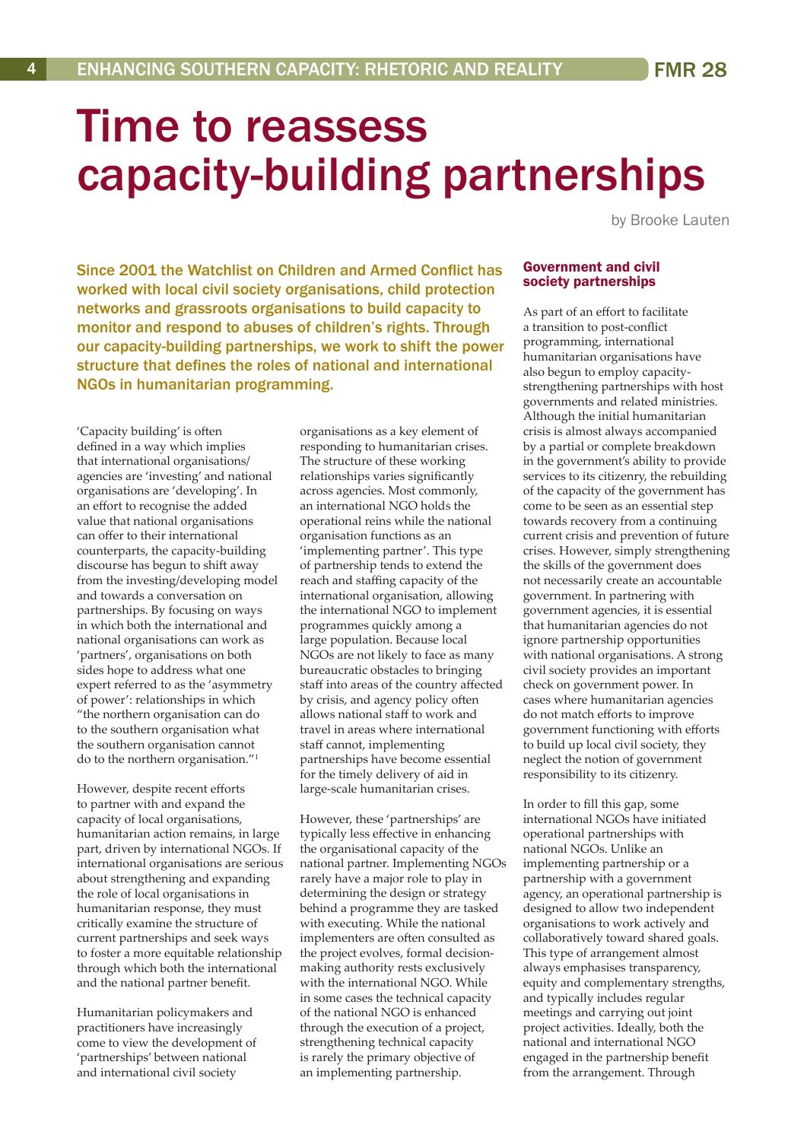# Time to reassess capacity-building partnerships

by Brooke Lauten

Since 2001 the Watchlist on Children and Armed Conflict has worked with local civil society organisations, child protection networks and grassroots organisations to build capacity to monitor and respond to abuses of children's rights. Through our capacity-building partnerships, we work to shift the power structure that defines the roles of national and international NGOs in humanitarian programming.

'Capacity building' is often defined in a way which implies that international organisations/ agencies are 'investing' and national organisations are 'developing'. In an effort to recognise the added value that national organisations can offer to their international counterparts, the capacity-building discourse has begun to shift away from the investing/developing model and towards a conversation on partnerships. By focusing on ways in which both the international and national organisations can work as 'partners', organisations on both sides hope to address what one expert referred to as the 'asymmetry of power': relationships in which "the northern organisation can do to the southern organisation what the southern organisation cannot do to the northern organisation."<sup>1</sup>

However, despite recent efforts to partner with and expand the capacity of local organisations, humanitarian action remains, in large part, driven by international NGOs. If international organisations are serious about strengthening and expanding the role of local organisations in humanitarian response, they must critically examine the structure of current partnerships and seek ways to foster a more equitable relationship through which both the international and the national partner benefit.

Humanitarian policymakers and practitioners have increasingly come to view the development of 'partnerships' between national and international civil society

organisations as a key element of responding to humanitarian crises. The structure of these working relationships varies significantly across agencies. Most commonly, an international NGO holds the operational reins while the national organisation functions as an 'implementing partner'. This type of partnership tends to extend the reach and staffing capacity of the international organisation, allowing the international NGO to implement programmes quickly among a large population. Because local NGOs are not likely to face as many bureaucratic obstacles to bringing staff into areas of the country affected by crisis, and agency policy often allows national staff to work and travel in areas where international staff cannot, implementing partnerships have become essential for the timely delivery of aid in large-scale humanitarian crises.

However, these 'partnerships' are typically less effective in enhancing the organisational capacity of the national partner. Implementing NGOs rarely have a major role to play in determining the design or strategy behind a programme they are tasked with executing. While the national implementers are often consulted as the project evolves, formal decisionmaking authority rests exclusively with the international NGO. While in some cases the technical capacity of the national NGO is enhanced through the execution of a project, strengthening technical capacity is rarely the primary objective of an implementing partnership.

#### Government and civil society partnerships

As part of an effort to facilitate a transition to post-conflict programming, international humanitarian organisations have also begun to employ capacitystrengthening partnerships with host governments and related ministries. Although the initial humanitarian crisis is almost always accompanied by a partial or complete breakdown in the government's ability to provide services to its citizenry, the rebuilding of the capacity of the government has come to be seen as an essential step towards recovery from a continuing current crisis and prevention of future crises. However, simply strengthening the skills of the government does not necessarily create an accountable government. In partnering with government agencies, it is essential that humanitarian agencies do not ignore partnership opportunities with national organisations. A strong civil society provides an important check on government power. In cases where humanitarian agencies do not match efforts to improve government functioning with efforts to build up local civil society, they neglect the notion of government responsibility to its citizenry.

In order to fill this gap, some international NGOs have initiated operational partnerships with national NGOs. Unlike an implementing partnership or a partnership with a government agency, an operational partnership is designed to allow two independent organisations to work actively and collaboratively toward shared goals. This type of arrangement almost always emphasises transparency, equity and complementary strengths, and typically includes regular meetings and carrying out joint project activities. Ideally, both the national and international NGO engaged in the partnership benefit from the arrangement. Through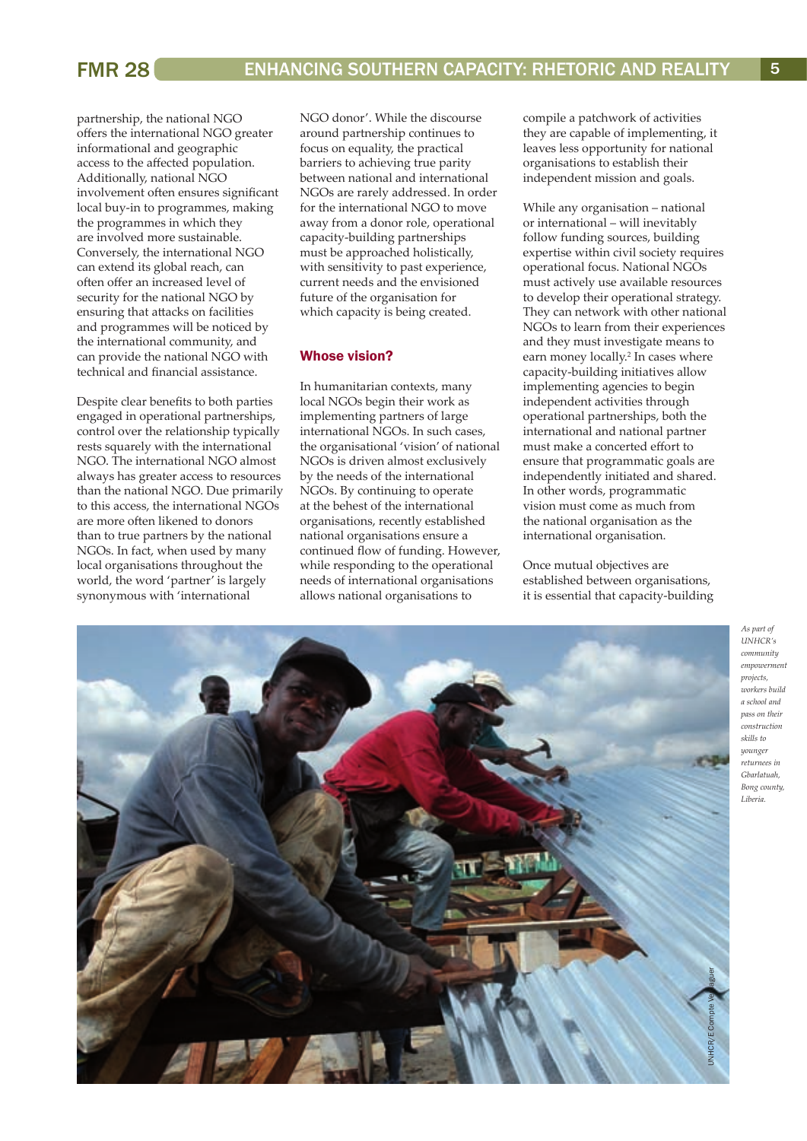partnership, the national NGO offers the international NGO greater informational and geographic access to the affected population. Additionally, national NGO involvement often ensures significant local buy-in to programmes, making the programmes in which they are involved more sustainable. Conversely, the international NGO can extend its global reach, can often offer an increased level of security for the national NGO by ensuring that attacks on facilities and programmes will be noticed by the international community, and can provide the national NGO with technical and financial assistance.

Despite clear benefits to both parties engaged in operational partnerships, control over the relationship typically rests squarely with the international NGO. The international NGO almost always has greater access to resources than the national NGO. Due primarily to this access, the international NGOs are more often likened to donors than to true partners by the national NGOs. In fact, when used by many local organisations throughout the world, the word 'partner' is largely synonymous with 'international

NGO donor'. While the discourse around partnership continues to focus on equality, the practical barriers to achieving true parity between national and international NGOs are rarely addressed. In order for the international NGO to move away from a donor role, operational capacity-building partnerships must be approached holistically, with sensitivity to past experience, current needs and the envisioned future of the organisation for which capacity is being created.

## Whose vision?

In humanitarian contexts, many local NGOs begin their work as implementing partners of large international NGOs. In such cases, the organisational 'vision' of national NGOs is driven almost exclusively by the needs of the international NGOs. By continuing to operate at the behest of the international organisations, recently established national organisations ensure a continued flow of funding. However, while responding to the operational needs of international organisations allows national organisations to

compile a patchwork of activities they are capable of implementing, it leaves less opportunity for national organisations to establish their independent mission and goals.

While any organisation – national or international – will inevitably follow funding sources, building expertise within civil society requires operational focus. National NGOs must actively use available resources to develop their operational strategy. They can network with other national NGOs to learn from their experiences and they must investigate means to earn money locally.<sup>2</sup> In cases where capacity-building initiatives allow implementing agencies to begin independent activities through operational partnerships, both the international and national partner must make a concerted effort to ensure that programmatic goals are independently initiated and shared. In other words, programmatic vision must come as much from the national organisation as the international organisation.

Once mutual objectives are established between organisations, it is essential that capacity-building



*As part of UNHCR's community empowerment projects, workers build a school and pass on their construction skills to younger returnees in Gbarlatuah, Bong county, Liberia.*